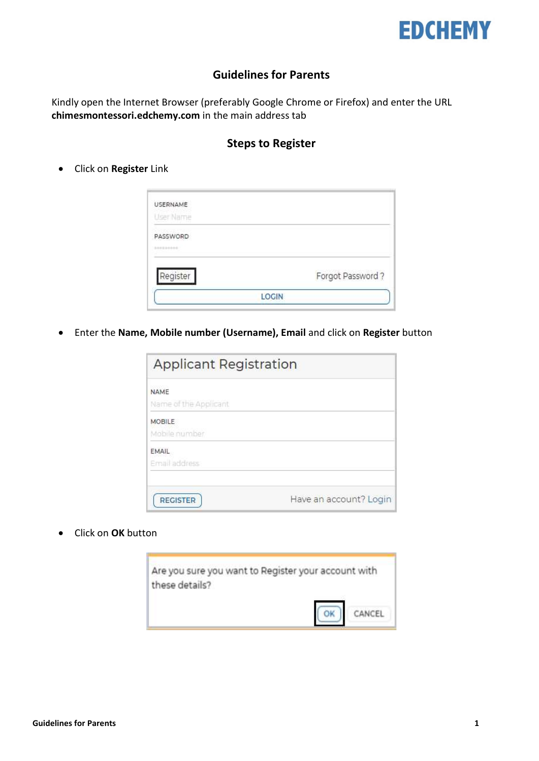

## Guidelines for Parents

Kindly open the Internet Browser (preferably Google Chrome or Firefox) and enter the URL chimesmontessori.edchemy.com in the main address tab

## Steps to Register

• Click on Register Link

| <b>USERNAME</b> |                  |
|-----------------|------------------|
| User Name       |                  |
| PASSWORD        |                  |
| 201220101       |                  |
| Register        | Forgot Password? |
|                 | <b>LOGIN</b>     |

Enter the Name, Mobile number (Username), Email and click on Register button

| <b>Applicant Registration</b>        |                        |  |  |
|--------------------------------------|------------------------|--|--|
| <b>NAME</b><br>Name of the Applicant |                        |  |  |
| MOBILE<br>Mobile number              |                        |  |  |
| EMAIL<br>Email address               |                        |  |  |
| <b>REGISTER</b>                      | Have an account? Login |  |  |

• Click on OK button

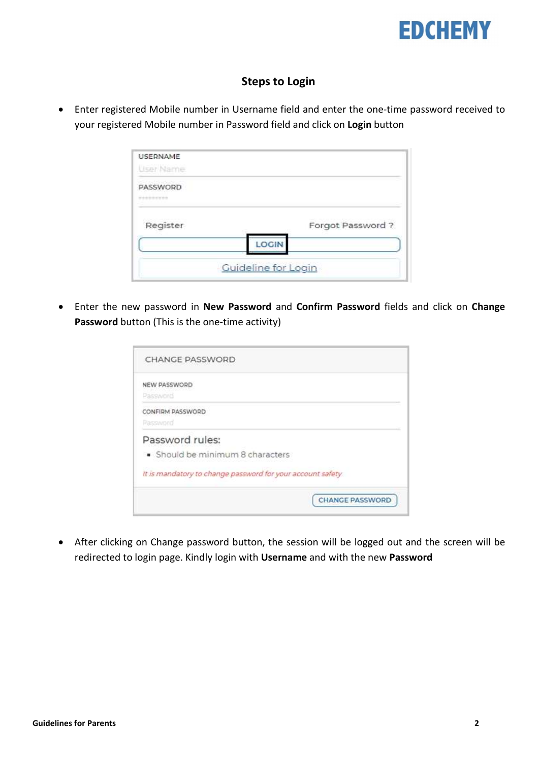

## Steps to Login

 Enter registered Mobile number in Username field and enter the one-time password received to your registered Mobile number in Password field and click on Login button

| USERNAME<br>User Name  |                     |
|------------------------|---------------------|
| PASSWORD<br>---------- |                     |
| Register               | Forgot Password?    |
|                        | LOGIN               |
|                        | Guideline for Login |

• Enter the new password in New Password and Confirm Password fields and click on Change Password button (This is the one-time activity)

| <b>CHANGE PASSWORD</b>                                     |                        |
|------------------------------------------------------------|------------------------|
| NEW PASSWORD<br>Password                                   |                        |
| CONFIRM PASSWORD                                           |                        |
| Password<br>Password rules:                                |                        |
| · Should be minimum 8 characters                           |                        |
| It is mandatory to change password for your account safety |                        |
|                                                            | <b>CHANGE PASSWORD</b> |
|                                                            |                        |

 After clicking on Change password button, the session will be logged out and the screen will be redirected to login page. Kindly login with Username and with the new Password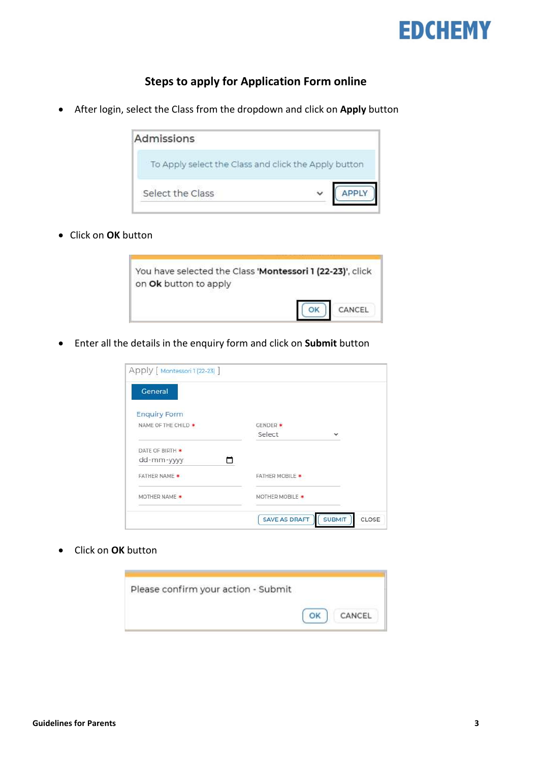

## Steps to apply for Application Form online

• After login, select the Class from the dropdown and click on Apply button



• Click on OK button



**Enter all the details in the enquiry form and click on Submit button** 

| Apply [ Montessori 1 (22-23) ]<br>General |                        |                        |
|-------------------------------------------|------------------------|------------------------|
| <b>Enquiry Form</b>                       |                        |                        |
| NAME OF THE CHILD *                       | GENDER *               |                        |
|                                           | Select                 | $\checkmark$           |
| DATE OF BIRTH *                           |                        |                        |
| dd-mm-yyyy<br>n                           |                        |                        |
| <b>FATHER NAME *</b>                      | <b>FATHER MOBILE *</b> |                        |
| MOTHER NAME *                             | MOTHER MOBILE *        |                        |
|                                           | <b>SAVE AS DRAFT</b>   | CLOSE<br><b>SUBMIT</b> |

Click on OK button

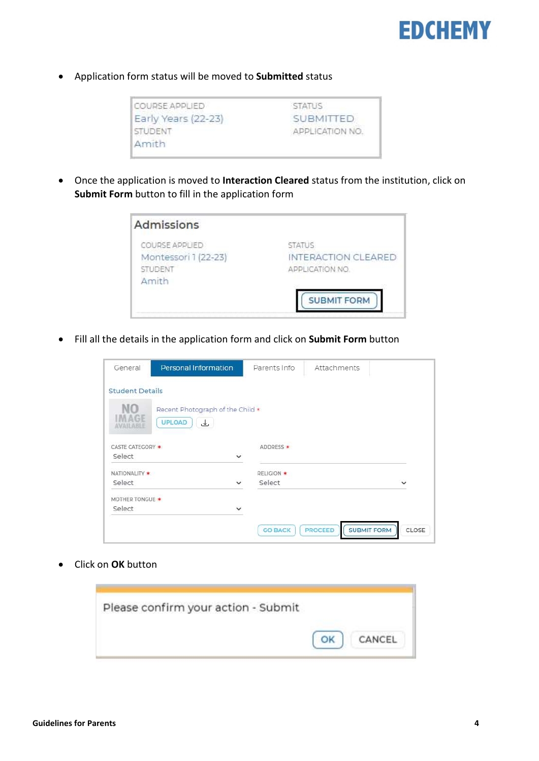

Application form status will be moved to Submitted status

| COURSE APPLIED      | <b>STATUS</b>   |
|---------------------|-----------------|
| Early Years (22-23) | SUBMITTED       |
| STUDENT             | APPLICATION NO. |
| Amith               |                 |

 Once the application is moved to Interaction Cleared status from the institution, click on Submit Form button to fill in the application form

| <b>Admissions</b>                                          |                                                         |
|------------------------------------------------------------|---------------------------------------------------------|
| COURSE APPLIED<br>Montessori 1 (22-23)<br>STUDENT<br>Amith | <b>STATUS</b><br>INTERACTION CLEARED<br>APPLICATION NO. |
|                                                            | <b>SUBMIT FORM</b>                                      |

• Fill all the details in the application form and click on Submit Form button

| General                    | Personal Information                             |              | Parents Info   | Attachments                          |           |
|----------------------------|--------------------------------------------------|--------------|----------------|--------------------------------------|-----------|
| <b>Student Details</b>     |                                                  |              |                |                                      |           |
| MAGE<br>II ARIJ            | Recent Photograph of the Child *<br>UPLOAD<br>ىك |              |                |                                      |           |
| CASTE CATEGORY *<br>Select |                                                  | $\check{ }$  | ADDRESS *      |                                      |           |
| NATIONALITY *              |                                                  |              | RELIGION *     |                                      |           |
| Select                     |                                                  | $\checkmark$ | Select         |                                      | $\ddot{}$ |
| MOTHER TONGUE *            |                                                  |              |                |                                      |           |
| Select                     |                                                  | $\checkmark$ |                |                                      |           |
|                            |                                                  |              | <b>GO BACK</b> | <b>SUBMIT FORM</b><br><b>PROCEED</b> | CLOSE     |

• Click on OK button

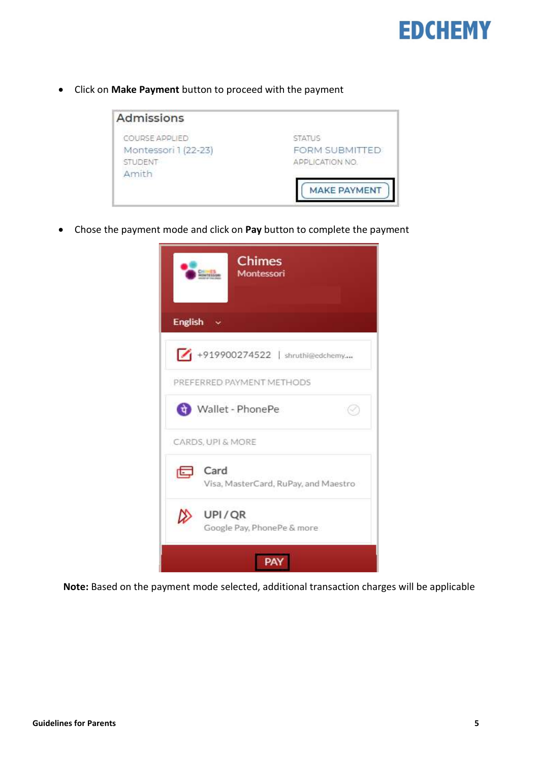

• Click on Make Payment button to proceed with the payment



• Chose the payment mode and click on Pay button to complete the payment



Note: Based on the payment mode selected, additional transaction charges will be applicable